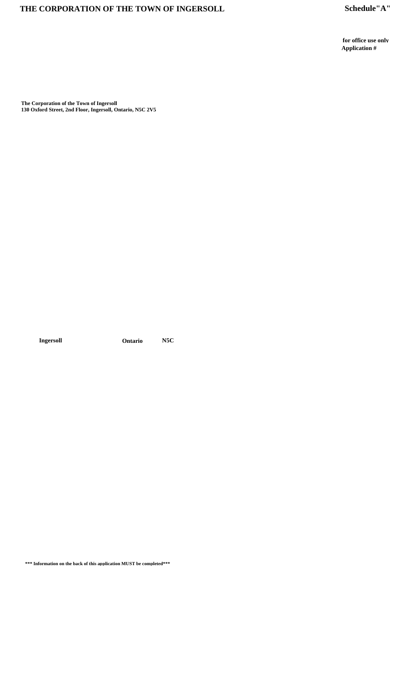for office use only Application  $\#$ 

The Corporation of the Town of Ingersoll<br>130 Oxford Street, 2nd Floor, Ingersoll, Ontario, N5C 2V5

Ingersoll

Ontario  $N5C$ 

<br>\*\*\* Information on the back of this application MUST be completed<br>\*\*\*